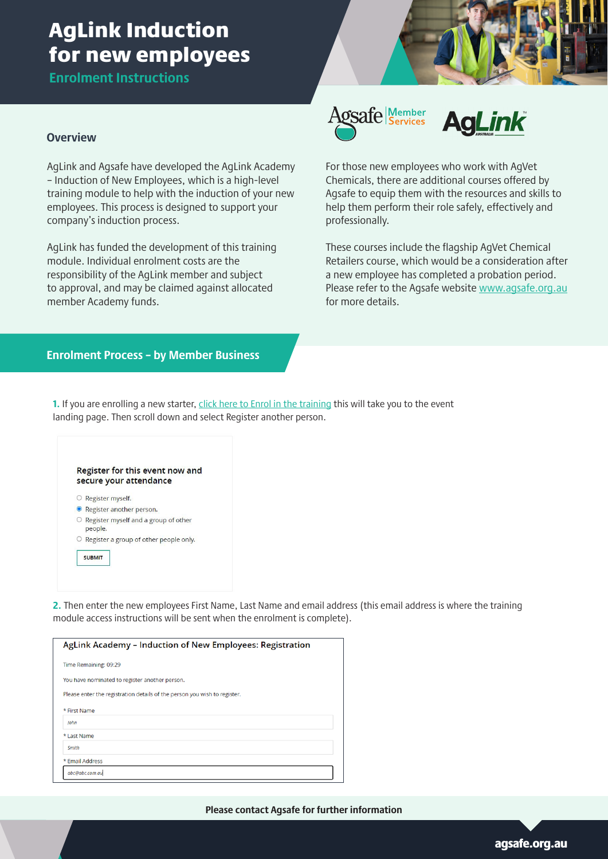# AgLink Induction for new employees

**Enrolment Instructions**

#### **Overview**

AgLink and Agsafe have developed the AgLink Academy – Induction of New Employees, which is a high-level training module to help with the induction of your new employees. This process is designed to support your company's induction process.

AgLink has funded the development of this training module. Individual enrolment costs are the responsibility of the AgLink member and subject to approval, and may be claimed against allocated member Academy funds.





For those new employees who work with AgVet Chemicals, there are additional courses offered by Agsafe to equip them with the resources and skills to help them perform their role safely, effectively and professionally.

These courses include the flagship AgVet Chemical Retailers course, which would be a consideration after a new employee has completed a probation period. Please refer to the Agsafe website [www.agsafe.org.au](mailto:www.agsafe.org.au?subject=) for more details.

#### **Enrolment Process – by Member Business**

**1.** If you are enrolling a new starter, *[click here to Enrol in the training](https://www.agsafe.org.au/events/event/aglink-academy-induction-of-new-employees-2022) this will take you to the event* landing page. Then scroll down and select Register another person.

|   | Register for this event now and<br>secure your attendance |
|---|-----------------------------------------------------------|
|   | Register myself.                                          |
|   | • Register another person.                                |
| O | Register myself and a group of other<br>people.           |
|   | Register a group of other people only.                    |
|   | <b>SUBMIT</b>                                             |

**2.** Then enter the new employees First Name, Last Name and email address (this email address is where the training module access instructions will be sent when the enrolment is complete).

| AgLink Academy – Induction of New Employees: Registration                 |  |  |
|---------------------------------------------------------------------------|--|--|
|                                                                           |  |  |
| Time Remaining: 09:29                                                     |  |  |
| You have nominated to register another person.                            |  |  |
| Please enter the registration details of the person you wish to register. |  |  |
| * First Name                                                              |  |  |
| John                                                                      |  |  |
| * Last Name                                                               |  |  |
| Smith                                                                     |  |  |
| * Email Address                                                           |  |  |
| abc@abc.com.au                                                            |  |  |

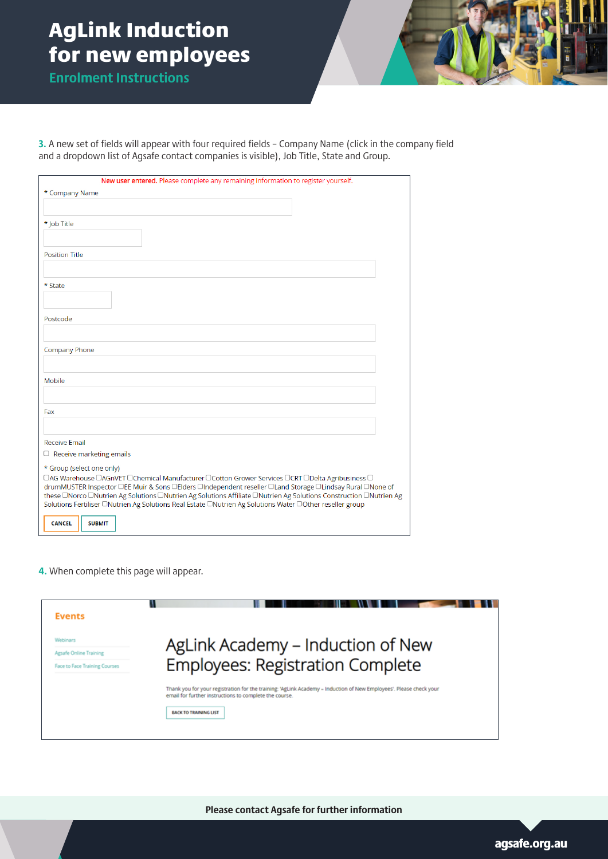# AgLink Induction for new employees

**Enrolment Instructions**

**3.** A new set of fields will appear with four required fields – Company Name (click in the company field and a dropdown list of Agsafe contact companies is visible), Job Title, State and Group.

| New user entered. Please complete any remaining information to register yourself.                                            |
|------------------------------------------------------------------------------------------------------------------------------|
| * Company Name                                                                                                               |
|                                                                                                                              |
| * Job Title                                                                                                                  |
|                                                                                                                              |
|                                                                                                                              |
| <b>Position Title</b>                                                                                                        |
|                                                                                                                              |
| * State                                                                                                                      |
|                                                                                                                              |
|                                                                                                                              |
| Postcode                                                                                                                     |
|                                                                                                                              |
| Company Phone                                                                                                                |
|                                                                                                                              |
|                                                                                                                              |
| Mobile                                                                                                                       |
|                                                                                                                              |
| Fax                                                                                                                          |
|                                                                                                                              |
|                                                                                                                              |
| <b>Receive Email</b>                                                                                                         |
| $\Box$ Receive marketing emails                                                                                              |
| * Group (select one only)<br>□AG Warehouse □AGnVET □Chemical Manufacturer □Cotton Grower Services □CRT □Delta Agribusiness □ |
| drumMUSTER Inspector □EE Muir & Sons □Elders □Independent reseller □Land Storage □Lindsay Rural □None of                     |
| these □Norco □Nutrien Ag Solutions □Nutrien Ag Solutions Affiliate □Nutrien Ag Solutions Construction □Nutrien Ag            |
| Solutions Fertiliser □Nutrien Ag Solutions Real Estate □Nutrien Ag Solutions Water □Other reseller group                     |
| <b>CANCEL</b><br><b>SUBMIT</b>                                                                                               |

**4.** When complete this page will appear.

| <b>Events</b>                 |                                                                                                                                                                              |
|-------------------------------|------------------------------------------------------------------------------------------------------------------------------------------------------------------------------|
| <b>Webinars</b>               | AgLink Academy – Induction of New                                                                                                                                            |
| Agsafe Online Training        |                                                                                                                                                                              |
| Face to Face Training Courses | <b>Employees: Registration Complete</b>                                                                                                                                      |
|                               | Thank you for your registration for the training: 'AgLink Academy - Induction of New Employees'. Please check your<br>email for further instructions to complete the course. |
|                               |                                                                                                                                                                              |

**Please contact Agsafe for further information**